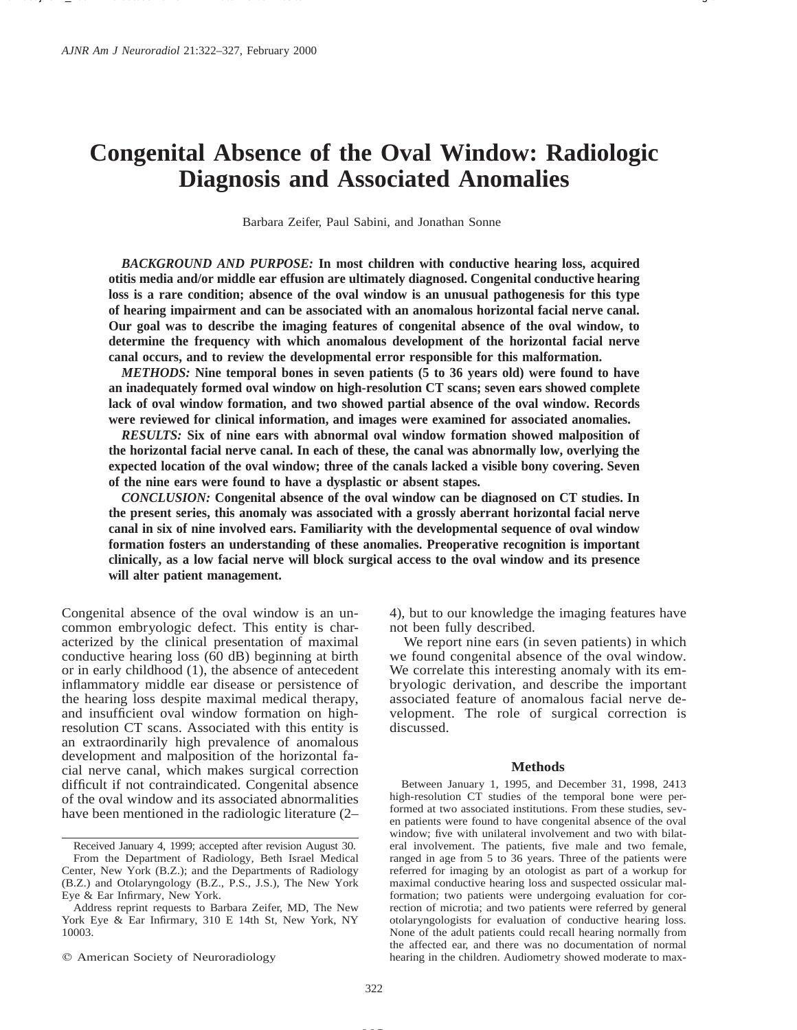# **Congenital Absence of the Oval Window: Radiologic Diagnosis and Associated Anomalies**

Barbara Zeifer, Paul Sabini, and Jonathan Sonne

*BACKGROUND AND PURPOSE:* **In most children with conductive hearing loss, acquired otitis media and/or middle ear effusion are ultimately diagnosed. Congenital conductive hearing loss is a rare condition; absence of the oval window is an unusual pathogenesis for this type of hearing impairment and can be associated with an anomalous horizontal facial nerve canal. Our goal was to describe the imaging features of congenital absence of the oval window, to determine the frequency with which anomalous development of the horizontal facial nerve canal occurs, and to review the developmental error responsible for this malformation.**

*METHODS:* **Nine temporal bones in seven patients (5 to 36 years old) were found to have an inadequately formed oval window on high-resolution CT scans; seven ears showed complete lack of oval window formation, and two showed partial absence of the oval window. Records were reviewed for clinical information, and images were examined for associated anomalies.**

*RESULTS:* **Six of nine ears with abnormal oval window formation showed malposition of the horizontal facial nerve canal. In each of these, the canal was abnormally low, overlying the expected location of the oval window; three of the canals lacked a visible bony covering. Seven of the nine ears were found to have a dysplastic or absent stapes.**

*CONCLUSION:* **Congenital absence of the oval window can be diagnosed on CT studies. In the present series, this anomaly was associated with a grossly aberrant horizontal facial nerve canal in six of nine involved ears. Familiarity with the developmental sequence of oval window formation fosters an understanding of these anomalies. Preoperative recognition is important clinically, as a low facial nerve will block surgical access to the oval window and its presence will alter patient management.**

Congenital absence of the oval window is an uncommon embryologic defect. This entity is characterized by the clinical presentation of maximal conductive hearing loss (60 dB) beginning at birth or in early childhood (1), the absence of antecedent inflammatory middle ear disease or persistence of the hearing loss despite maximal medical therapy, and insufficient oval window formation on highresolution CT scans. Associated with this entity is an extraordinarily high prevalence of anomalous development and malposition of the horizontal facial nerve canal, which makes surgical correction difficult if not contraindicated. Congenital absence of the oval window and its associated abnormalities have been mentioned in the radiologic literature (2–

4), but to our knowledge the imaging features have not been fully described.

We report nine ears (in seven patients) in which we found congenital absence of the oval window. We correlate this interesting anomaly with its embryologic derivation, and describe the important associated feature of anomalous facial nerve development. The role of surgical correction is discussed.

#### **Methods**

Between January 1, 1995, and December 31, 1998, 2413 high-resolution CT studies of the temporal bone were performed at two associated institutions. From these studies, seven patients were found to have congenital absence of the oval window; five with unilateral involvement and two with bilateral involvement. The patients, five male and two female, ranged in age from 5 to 36 years. Three of the patients were referred for imaging by an otologist as part of a workup for maximal conductive hearing loss and suspected ossicular malformation; two patients were undergoing evaluation for correction of microtia; and two patients were referred by general otolaryngologists for evaluation of conductive hearing loss. None of the adult patients could recall hearing normally from the affected ear, and there was no documentation of normal hearing in the children. Audiometry showed moderate to max-

Received January 4, 1999; accepted after revision August 30. From the Department of Radiology, Beth Israel Medical Center, New York (B.Z.); and the Departments of Radiology (B.Z.) and Otolaryngology (B.Z., P.S., J.S.), The New York Eye & Ear Infirmary, New York.

Address reprint requests to Barbara Zeifer, MD, The New York Eye & Ear Infirmary, 310 E 14th St, New York, NY 10003.

 $Q$  American Society of Neuroradiology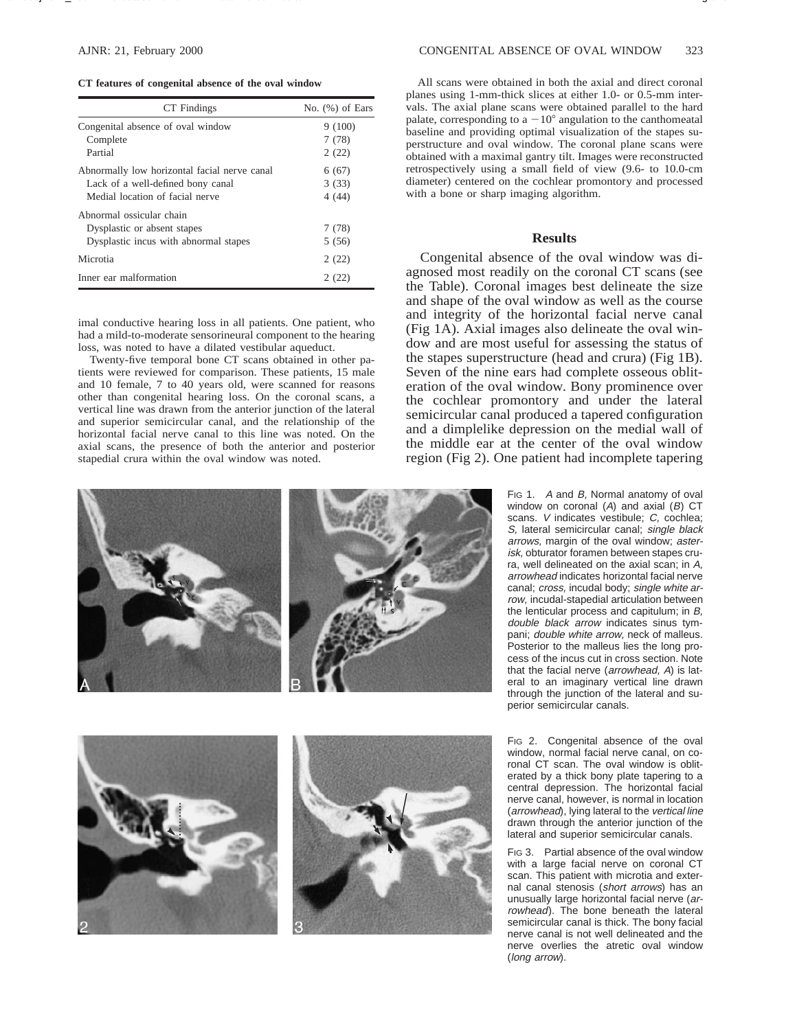#### **CT features of congenital absence of the oval window**

| CT Findings                                  | No. $(\%)$ of Ears |
|----------------------------------------------|--------------------|
| Congenital absence of oval window            | 9(100)             |
| Complete                                     | 7(78)              |
| Partial                                      | 2(22)              |
| Abnormally low horizontal facial nerve canal | 6(67)              |
| Lack of a well-defined bony canal            | 3(33)              |
| Medial location of facial nerve              | 4(44)              |
| Abnormal ossicular chain                     |                    |
| Dysplastic or absent stapes                  | 7(78)              |
| Dysplastic incus with abnormal stapes        | 5(56)              |
| Microtia                                     | 2(22)              |
| Inner ear malformation                       | 2(22)              |

imal conductive hearing loss in all patients. One patient, who had a mild-to-moderate sensorineural component to the hearing loss, was noted to have a dilated vestibular aqueduct.

Twenty-five temporal bone CT scans obtained in other patients were reviewed for comparison. These patients, 15 male and 10 female, 7 to 40 years old, were scanned for reasons other than congenital hearing loss. On the coronal scans, a vertical line was drawn from the anterior junction of the lateral and superior semicircular canal, and the relationship of the horizontal facial nerve canal to this line was noted. On the axial scans, the presence of both the anterior and posterior stapedial crura within the oval window was noted.

All scans were obtained in both the axial and direct coronal planes using 1-mm-thick slices at either 1.0- or 0.5-mm intervals. The axial plane scans were obtained parallel to the hard palate, corresponding to a  $-10^{\circ}$  angulation to the canthomeatal baseline and providing optimal visualization of the stapes superstructure and oval window. The coronal plane scans were obtained with a maximal gantry tilt. Images were reconstructed retrospectively using a small field of view (9.6- to 10.0-cm diameter) centered on the cochlear promontory and processed with a bone or sharp imaging algorithm.

# **Results**

Congenital absence of the oval window was diagnosed most readily on the coronal CT scans (see the Table). Coronal images best delineate the size and shape of the oval window as well as the course and integrity of the horizontal facial nerve canal (Fig 1A). Axial images also delineate the oval window and are most useful for assessing the status of the stapes superstructure (head and crura) (Fig 1B). Seven of the nine ears had complete osseous obliteration of the oval window. Bony prominence over the cochlear promontory and under the lateral semicircular canal produced a tapered configuration and a dimplelike depression on the medial wall of the middle ear at the center of the oval window region (Fig 2). One patient had incomplete tapering

> Fig 1. A and B, Normal anatomy of oval window on coronal  $(A)$  and axial  $(B)$  CT scans. *V* indicates vestibule; *C*, cochlea; S, lateral semicircular canal; single black arrows, margin of the oval window; asterisk, obturator foramen between stapes crura, well delineated on the axial scan; in A, arrowhead indicates horizontal facial nerve canal; cross, incudal body; single white arrow, incudal-stapedial articulation between the lenticular process and capitulum; in B, double black arrow indicates sinus tympani; double white arrow, neck of malleus. Posterior to the malleus lies the long process of the incus cut in cross section. Note that the facial nerve (arrowhead, A) is lateral to an imaginary vertical line drawn through the junction of the lateral and superior semicircular canals.

> Fig 2. Congenital absence of the oval window, normal facial nerve canal, on coronal CT scan. The oval window is obliterated by a thick bony plate tapering to a central depression. The horizontal facial nerve canal, however, is normal in location (arrowhead), lying lateral to the vertical line drawn through the anterior junction of the lateral and superior semicircular canals.

> FIG 3. Partial absence of the oval window with a large facial nerve on coronal CT scan. This patient with microtia and external canal stenosis (short arrows) has an unusually large horizontal facial nerve (arrowhead). The bone beneath the lateral semicircular canal is thick. The bony facial nerve canal is not well delineated and the nerve overlies the atretic oval window (long arrow).





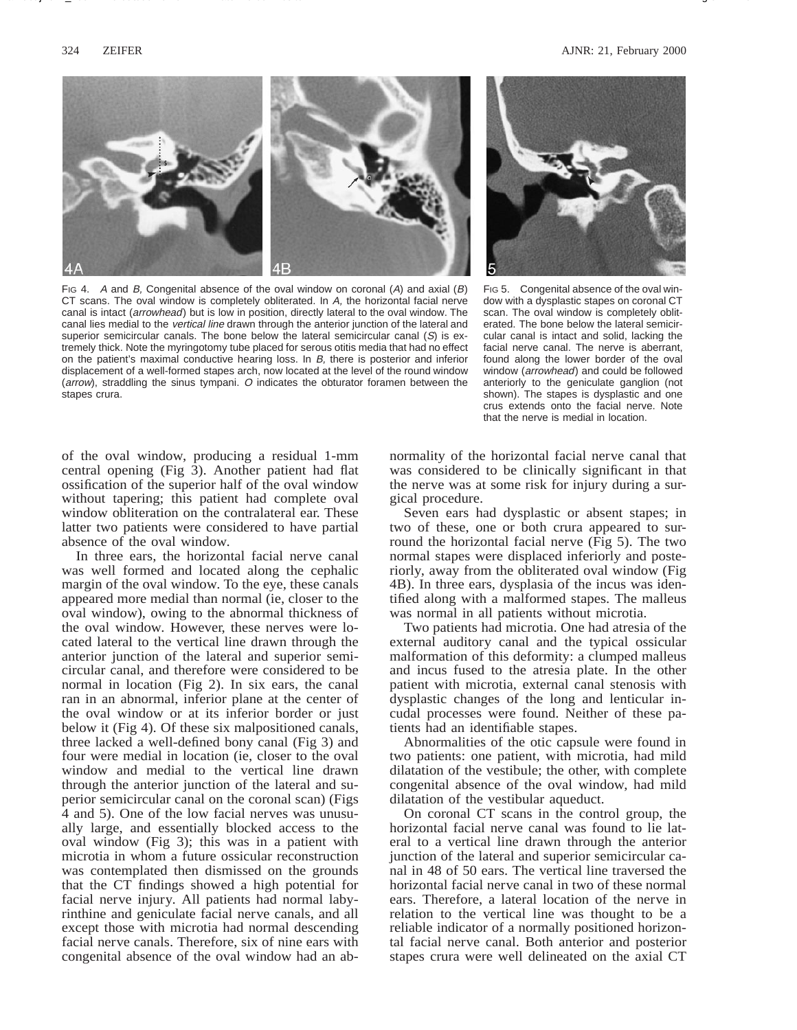

FIG 4. A and B, Congenital absence of the oval window on coronal  $(A)$  and axial  $(B)$ CT scans. The oval window is completely obliterated. In A, the horizontal facial nerve canal is intact (arrowhead) but is low in position, directly lateral to the oval window. The canal lies medial to the vertical line drawn through the anterior junction of the lateral and superior semicircular canals. The bone below the lateral semicircular canal  $(S)$  is extremely thick. Note the myringotomy tube placed for serous otitis media that had no effect on the patient's maximal conductive hearing loss. In B, there is posterior and inferior displacement of a well-formed stapes arch, now located at the level of the round window (arrow), straddling the sinus tympani. O indicates the obturator foramen between the stapes crura.



FIG 5. Congenital absence of the oval window with a dysplastic stapes on coronal CT scan. The oval window is completely obliterated. The bone below the lateral semicircular canal is intact and solid, lacking the facial nerve canal. The nerve is aberrant, found along the lower border of the oval window (*arrowhead*) and could be followed anteriorly to the geniculate ganglion (not shown). The stapes is dysplastic and one crus extends onto the facial nerve. Note that the nerve is medial in location.

of the oval window, producing a residual 1-mm central opening (Fig 3). Another patient had flat ossification of the superior half of the oval window without tapering; this patient had complete oval window obliteration on the contralateral ear. These latter two patients were considered to have partial absence of the oval window.

In three ears, the horizontal facial nerve canal was well formed and located along the cephalic margin of the oval window. To the eye, these canals appeared more medial than normal (ie, closer to the oval window), owing to the abnormal thickness of the oval window. However, these nerves were located lateral to the vertical line drawn through the anterior junction of the lateral and superior semicircular canal, and therefore were considered to be normal in location (Fig 2). In six ears, the canal ran in an abnormal, inferior plane at the center of the oval window or at its inferior border or just below it (Fig 4). Of these six malpositioned canals, three lacked a well-defined bony canal (Fig 3) and four were medial in location (ie, closer to the oval window and medial to the vertical line drawn through the anterior junction of the lateral and superior semicircular canal on the coronal scan) (Figs 4 and 5). One of the low facial nerves was unusually large, and essentially blocked access to the oval window (Fig 3); this was in a patient with microtia in whom a future ossicular reconstruction was contemplated then dismissed on the grounds that the CT findings showed a high potential for facial nerve injury. All patients had normal labyrinthine and geniculate facial nerve canals, and all except those with microtia had normal descending facial nerve canals. Therefore, six of nine ears with congenital absence of the oval window had an abnormality of the horizontal facial nerve canal that was considered to be clinically significant in that the nerve was at some risk for injury during a surgical procedure.

Seven ears had dysplastic or absent stapes; in two of these, one or both crura appeared to surround the horizontal facial nerve (Fig 5). The two normal stapes were displaced inferiorly and posteriorly, away from the obliterated oval window (Fig 4B). In three ears, dysplasia of the incus was identified along with a malformed stapes. The malleus was normal in all patients without microtia.

Two patients had microtia. One had atresia of the external auditory canal and the typical ossicular malformation of this deformity: a clumped malleus and incus fused to the atresia plate. In the other patient with microtia, external canal stenosis with dysplastic changes of the long and lenticular incudal processes were found. Neither of these patients had an identifiable stapes.

Abnormalities of the otic capsule were found in two patients: one patient, with microtia, had mild dilatation of the vestibule; the other, with complete congenital absence of the oval window, had mild dilatation of the vestibular aqueduct.

On coronal CT scans in the control group, the horizontal facial nerve canal was found to lie lateral to a vertical line drawn through the anterior junction of the lateral and superior semicircular canal in 48 of 50 ears. The vertical line traversed the horizontal facial nerve canal in two of these normal ears. Therefore, a lateral location of the nerve in relation to the vertical line was thought to be a reliable indicator of a normally positioned horizontal facial nerve canal. Both anterior and posterior stapes crura were well delineated on the axial CT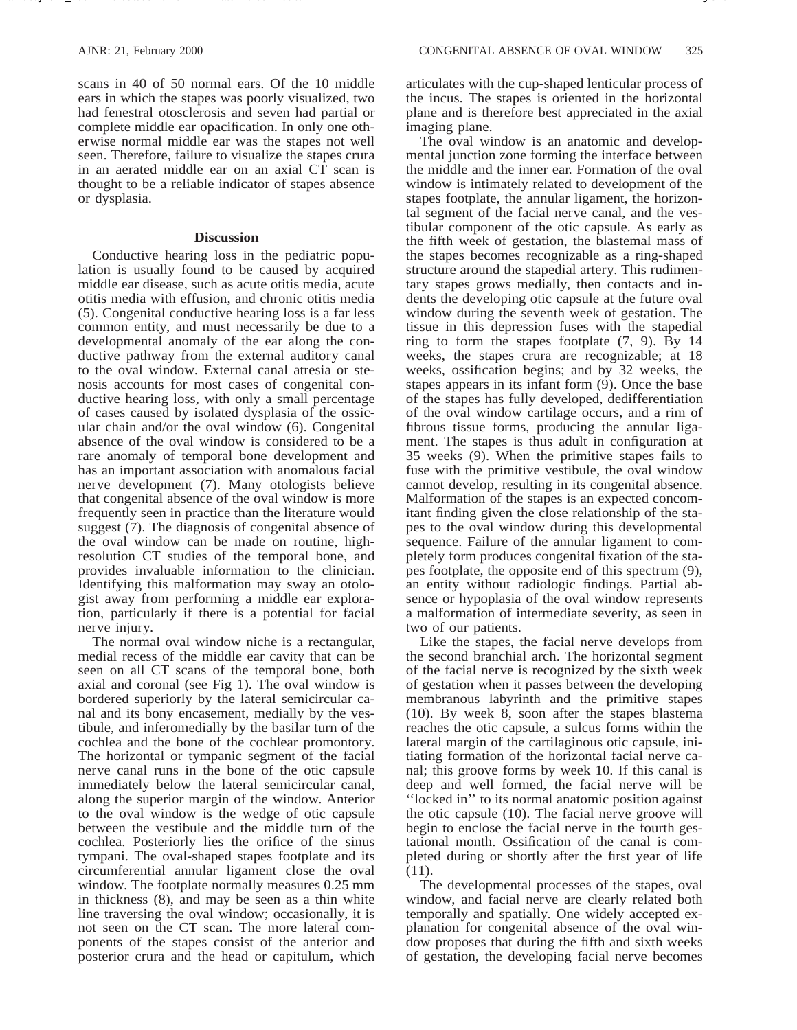scans in 40 of 50 normal ears. Of the 10 middle ears in which the stapes was poorly visualized, two had fenestral otosclerosis and seven had partial or complete middle ear opacification. In only one otherwise normal middle ear was the stapes not well seen. Therefore, failure to visualize the stapes crura in an aerated middle ear on an axial CT scan is thought to be a reliable indicator of stapes absence or dysplasia.

## **Discussion**

Conductive hearing loss in the pediatric population is usually found to be caused by acquired middle ear disease, such as acute otitis media, acute otitis media with effusion, and chronic otitis media (5). Congenital conductive hearing loss is a far less common entity, and must necessarily be due to a developmental anomaly of the ear along the conductive pathway from the external auditory canal to the oval window. External canal atresia or stenosis accounts for most cases of congenital conductive hearing loss, with only a small percentage of cases caused by isolated dysplasia of the ossicular chain and/or the oval window (6). Congenital absence of the oval window is considered to be a rare anomaly of temporal bone development and has an important association with anomalous facial nerve development (7). Many otologists believe that congenital absence of the oval window is more frequently seen in practice than the literature would suggest (7). The diagnosis of congenital absence of the oval window can be made on routine, highresolution CT studies of the temporal bone, and provides invaluable information to the clinician. Identifying this malformation may sway an otologist away from performing a middle ear exploration, particularly if there is a potential for facial nerve injury.

The normal oval window niche is a rectangular, medial recess of the middle ear cavity that can be seen on all CT scans of the temporal bone, both axial and coronal (see Fig 1). The oval window is bordered superiorly by the lateral semicircular canal and its bony encasement, medially by the vestibule, and inferomedially by the basilar turn of the cochlea and the bone of the cochlear promontory. The horizontal or tympanic segment of the facial nerve canal runs in the bone of the otic capsule immediately below the lateral semicircular canal, along the superior margin of the window. Anterior to the oval window is the wedge of otic capsule between the vestibule and the middle turn of the cochlea. Posteriorly lies the orifice of the sinus tympani. The oval-shaped stapes footplate and its circumferential annular ligament close the oval window. The footplate normally measures 0.25 mm in thickness (8), and may be seen as a thin white line traversing the oval window; occasionally, it is not seen on the CT scan. The more lateral components of the stapes consist of the anterior and posterior crura and the head or capitulum, which articulates with the cup-shaped lenticular process of the incus. The stapes is oriented in the horizontal plane and is therefore best appreciated in the axial imaging plane.

The oval window is an anatomic and developmental junction zone forming the interface between the middle and the inner ear. Formation of the oval window is intimately related to development of the stapes footplate, the annular ligament, the horizontal segment of the facial nerve canal, and the vestibular component of the otic capsule. As early as the fifth week of gestation, the blastemal mass of the stapes becomes recognizable as a ring-shaped structure around the stapedial artery. This rudimentary stapes grows medially, then contacts and indents the developing otic capsule at the future oval window during the seventh week of gestation. The tissue in this depression fuses with the stapedial ring to form the stapes footplate (7, 9). By 14 weeks, the stapes crura are recognizable; at 18 weeks, ossification begins; and by 32 weeks, the stapes appears in its infant form (9). Once the base of the stapes has fully developed, dedifferentiation of the oval window cartilage occurs, and a rim of fibrous tissue forms, producing the annular ligament. The stapes is thus adult in configuration at 35 weeks (9). When the primitive stapes fails to fuse with the primitive vestibule, the oval window cannot develop, resulting in its congenital absence. Malformation of the stapes is an expected concomitant finding given the close relationship of the stapes to the oval window during this developmental sequence. Failure of the annular ligament to completely form produces congenital fixation of the stapes footplate, the opposite end of this spectrum (9), an entity without radiologic findings. Partial absence or hypoplasia of the oval window represents a malformation of intermediate severity, as seen in two of our patients.

Like the stapes, the facial nerve develops from the second branchial arch. The horizontal segment of the facial nerve is recognized by the sixth week of gestation when it passes between the developing membranous labyrinth and the primitive stapes (10). By week 8, soon after the stapes blastema reaches the otic capsule, a sulcus forms within the lateral margin of the cartilaginous otic capsule, initiating formation of the horizontal facial nerve canal; this groove forms by week 10. If this canal is deep and well formed, the facial nerve will be ''locked in'' to its normal anatomic position against the otic capsule (10). The facial nerve groove will begin to enclose the facial nerve in the fourth gestational month. Ossification of the canal is completed during or shortly after the first year of life (11).

The developmental processes of the stapes, oval window, and facial nerve are clearly related both temporally and spatially. One widely accepted explanation for congenital absence of the oval window proposes that during the fifth and sixth weeks of gestation, the developing facial nerve becomes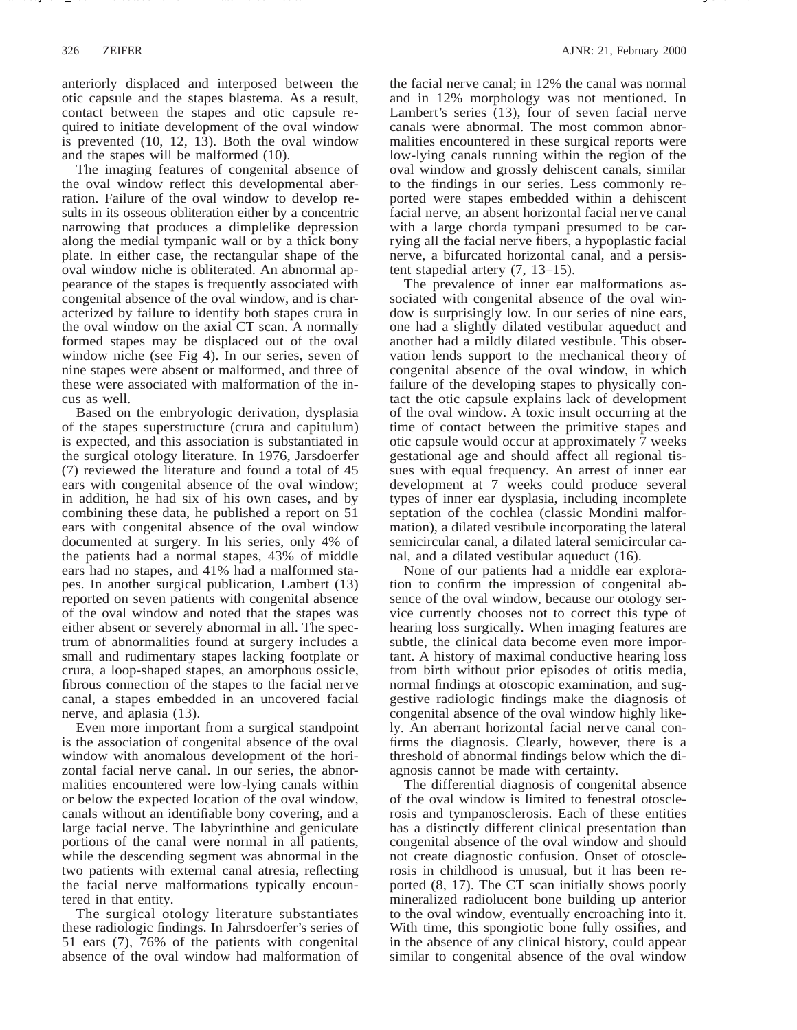anteriorly displaced and interposed between the otic capsule and the stapes blastema. As a result, contact between the stapes and otic capsule required to initiate development of the oval window is prevented (10, 12, 13). Both the oval window and the stapes will be malformed (10).

The imaging features of congenital absence of the oval window reflect this developmental aberration. Failure of the oval window to develop results in its osseous obliteration either by a concentric narrowing that produces a dimplelike depression along the medial tympanic wall or by a thick bony plate. In either case, the rectangular shape of the oval window niche is obliterated. An abnormal appearance of the stapes is frequently associated with congenital absence of the oval window, and is characterized by failure to identify both stapes crura in the oval window on the axial CT scan. A normally formed stapes may be displaced out of the oval window niche (see Fig 4). In our series, seven of nine stapes were absent or malformed, and three of these were associated with malformation of the incus as well.

Based on the embryologic derivation, dysplasia of the stapes superstructure (crura and capitulum) is expected, and this association is substantiated in the surgical otology literature. In 1976, Jarsdoerfer (7) reviewed the literature and found a total of 45 ears with congenital absence of the oval window; in addition, he had six of his own cases, and by combining these data, he published a report on 51 ears with congenital absence of the oval window documented at surgery. In his series, only 4% of the patients had a normal stapes, 43% of middle ears had no stapes, and 41% had a malformed stapes. In another surgical publication, Lambert (13) reported on seven patients with congenital absence of the oval window and noted that the stapes was either absent or severely abnormal in all. The spectrum of abnormalities found at surgery includes a small and rudimentary stapes lacking footplate or crura, a loop-shaped stapes, an amorphous ossicle, fibrous connection of the stapes to the facial nerve canal, a stapes embedded in an uncovered facial nerve, and aplasia (13).

Even more important from a surgical standpoint is the association of congenital absence of the oval window with anomalous development of the horizontal facial nerve canal. In our series, the abnormalities encountered were low-lying canals within or below the expected location of the oval window, canals without an identifiable bony covering, and a large facial nerve. The labyrinthine and geniculate portions of the canal were normal in all patients, while the descending segment was abnormal in the two patients with external canal atresia, reflecting the facial nerve malformations typically encountered in that entity.

The surgical otology literature substantiates these radiologic findings. In Jahrsdoerfer's series of 51 ears (7), 76% of the patients with congenital absence of the oval window had malformation of

the facial nerve canal; in 12% the canal was normal and in 12% morphology was not mentioned. In Lambert's series (13), four of seven facial nerve canals were abnormal. The most common abnormalities encountered in these surgical reports were low-lying canals running within the region of the oval window and grossly dehiscent canals, similar to the findings in our series. Less commonly reported were stapes embedded within a dehiscent facial nerve, an absent horizontal facial nerve canal with a large chorda tympani presumed to be carrying all the facial nerve fibers, a hypoplastic facial nerve, a bifurcated horizontal canal, and a persistent stapedial artery (7, 13–15).

The prevalence of inner ear malformations associated with congenital absence of the oval window is surprisingly low. In our series of nine ears, one had a slightly dilated vestibular aqueduct and another had a mildly dilated vestibule. This observation lends support to the mechanical theory of congenital absence of the oval window, in which failure of the developing stapes to physically contact the otic capsule explains lack of development of the oval window. A toxic insult occurring at the time of contact between the primitive stapes and otic capsule would occur at approximately 7 weeks gestational age and should affect all regional tissues with equal frequency. An arrest of inner ear development at 7 weeks could produce several types of inner ear dysplasia, including incomplete septation of the cochlea (classic Mondini malformation), a dilated vestibule incorporating the lateral semicircular canal, a dilated lateral semicircular canal, and a dilated vestibular aqueduct (16).

None of our patients had a middle ear exploration to confirm the impression of congenital absence of the oval window, because our otology service currently chooses not to correct this type of hearing loss surgically. When imaging features are subtle, the clinical data become even more important. A history of maximal conductive hearing loss from birth without prior episodes of otitis media, normal findings at otoscopic examination, and suggestive radiologic findings make the diagnosis of congenital absence of the oval window highly likely. An aberrant horizontal facial nerve canal confirms the diagnosis. Clearly, however, there is a threshold of abnormal findings below which the diagnosis cannot be made with certainty.

The differential diagnosis of congenital absence of the oval window is limited to fenestral otosclerosis and tympanosclerosis. Each of these entities has a distinctly different clinical presentation than congenital absence of the oval window and should not create diagnostic confusion. Onset of otosclerosis in childhood is unusual, but it has been reported (8, 17). The CT scan initially shows poorly mineralized radiolucent bone building up anterior to the oval window, eventually encroaching into it. With time, this spongiotic bone fully ossifies, and in the absence of any clinical history, could appear similar to congenital absence of the oval window